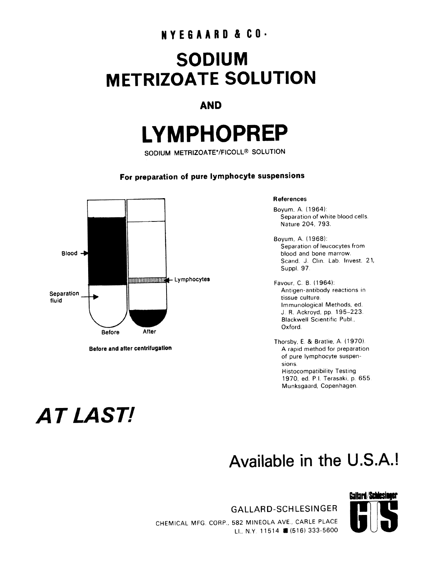## **NYE6AARD & CO.**

## **SODIUM METRIZOATE SOLUTION**

#### **AND**

# **LYMPHOPREP**

SODIUM METRIZOATE\*/FICOLL® SOLUTION

#### **For preparation of pure lymphocyte suspensions**



**Before and after centrifugatlon** 

#### **References**

Boyum, A. (1964): Separation of white blood cells. Nature 204, 793.

Boyum, A. (1968): Separation of leucocytes from blood and bone marrow. Scand. J. Clin. Lab. Invest. 21, Suppl. 97.

Favour. C. B. (1964): Antigen-antibody reactions in tissue culture. Immunological Methods, ed J. R. Ackroyd. pp. 195-223 Blackwell Scientific Publ., Oxford.

Thorsby, E. & Bratlie, A. (1970). A rapid method for preparation of pure lymphocyte suspensions. Histocompatibility Testing 1970, ed. P.I. Terasaki, p. 655. Munksgaard, Copenhagen.

## *AT LAST/*

## **Available in the U.S.A.!**

GALLARD-SCHLESINGER CHEMICAL MFG CORP., 582 MINEOLA AVE.. CARLE PLACE LI., N.Y. 11514 11(516) 333-5600